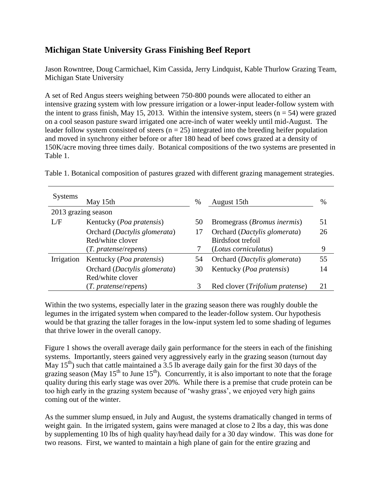## **Michigan State University Grass Finishing Beef Report**

Jason Rowntree, Doug Carmichael, Kim Cassida, Jerry Lindquist, Kable Thurlow Grazing Team, Michigan State University

A set of Red Angus steers weighing between 750-800 pounds were allocated to either an intensive grazing system with low pressure irrigation or a lower-input leader-follow system with the intent to grass finish, May 15, 2013. Within the intensive system, steers  $(n = 54)$  were grazed on a cool season pasture sward irrigated one acre-inch of water weekly until mid-August. The leader follow system consisted of steers  $(n = 25)$  integrated into the breeding heifer population and moved in synchrony either before or after 180 head of beef cows grazed at a density of 150K/acre moving three times daily. Botanical compositions of the two systems are presented in Table 1.

| <b>Systems</b>      | May 15th                                         | $\%$ | August 15th                                       | $\%$ |
|---------------------|--------------------------------------------------|------|---------------------------------------------------|------|
| 2013 grazing season |                                                  |      |                                                   |      |
| L/F                 | Kentucky ( <i>Poa pratensis</i> )                | 50   | Bromegrass ( <i>Bromus inermis</i> )              | 51   |
|                     | Orchard (Dactylis glomerata)<br>Red/white clover | 17   | Orchard (Dactylis glomerata)<br>Birdsfoot trefoil | 26   |
|                     | (T. pratense/repens)                             |      | (Lotus corniculatus)                              | 9    |
| Irrigation          | Kentucky ( <i>Poa pratensis</i> )                | 54   | Orchard (Dactylis glomerata)                      | 55   |
|                     | Orchard (Dactylis glomerata)                     | 30   | Kentucky ( <i>Poa pratensis</i> )                 | 14   |
|                     | Red/white clover                                 |      |                                                   |      |
|                     | (T. pratense/repens)                             |      | Red clover ( <i>Trifolium pratense</i> )          | 21   |

Table 1. Botanical composition of pastures grazed with different grazing management strategies.

Within the two systems, especially later in the grazing season there was roughly double the legumes in the irrigated system when compared to the leader-follow system. Our hypothesis would be that grazing the taller forages in the low-input system led to some shading of legumes that thrive lower in the overall canopy.

Figure 1 shows the overall average daily gain performance for the steers in each of the finishing systems. Importantly, steers gained very aggressively early in the grazing season (turnout day May  $15<sup>th</sup>$ ) such that cattle maintained a 3.5 lb average daily gain for the first 30 days of the grazing season (May  $15<sup>th</sup>$  to June  $15<sup>th</sup>$ ). Concurrently, it is also important to note that the forage quality during this early stage was over 20%. While there is a premise that crude protein can be too high early in the grazing system because of 'washy grass', we enjoyed very high gains coming out of the winter.

As the summer slump ensued, in July and August, the systems dramatically changed in terms of weight gain. In the irrigated system, gains were managed at close to 2 lbs a day, this was done by supplementing 10 lbs of high quality hay/head daily for a 30 day window. This was done for two reasons. First, we wanted to maintain a high plane of gain for the entire grazing and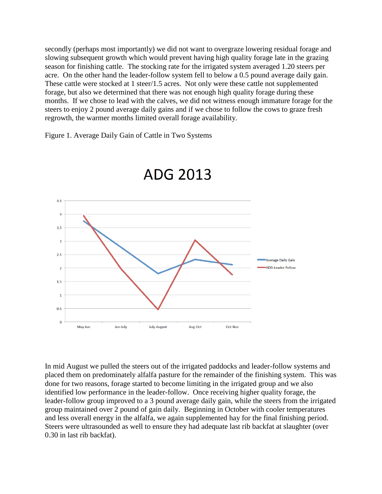secondly (perhaps most importantly) we did not want to overgraze lowering residual forage and slowing subsequent growth which would prevent having high quality forage late in the grazing season for finishing cattle. The stocking rate for the irrigated system averaged 1.20 steers per acre. On the other hand the leader-follow system fell to below a 0.5 pound average daily gain. These cattle were stocked at 1 steer/1.5 acres. Not only were these cattle not supplemented forage, but also we determined that there was not enough high quality forage during these months. If we chose to lead with the calves, we did not witness enough immature forage for the steers to enjoy 2 pound average daily gains and if we chose to follow the cows to graze fresh regrowth, the warmer months limited overall forage availability.

Figure 1. Average Daily Gain of Cattle in Two Systems



ADG 2013

In mid August we pulled the steers out of the irrigated paddocks and leader-follow systems and placed them on predominately alfalfa pasture for the remainder of the finishing system. This was done for two reasons, forage started to become limiting in the irrigated group and we also identified low performance in the leader-follow. Once receiving higher quality forage, the leader-follow group improved to a 3 pound average daily gain, while the steers from the irrigated group maintained over 2 pound of gain daily. Beginning in October with cooler temperatures and less overall energy in the alfalfa, we again supplemented hay for the final finishing period. Steers were ultrasounded as well to ensure they had adequate last rib backfat at slaughter (over 0.30 in last rib backfat).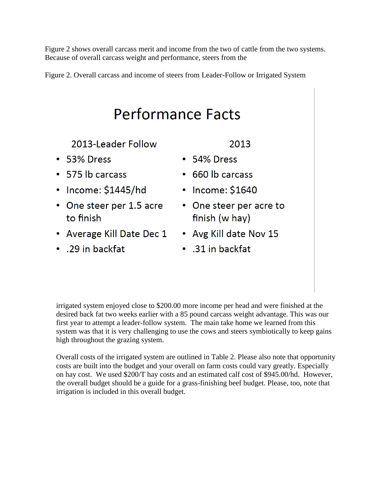Figure 2 shows overall carcass merit and income from the two of cattle from the two systems. Because of overall carcass weight and performance, steers from the

Figure 2. Overall carcass and income of steers from Leader-Follow or Irrigated System

## **Performance Facts**

2013-Leader Follow

- 53% Dress
- $\cdot$  575 lb carcass
- Income:  $$1445/hd$
- One steer per 1.5 acre to finish
- Average Kill Date Dec 1 Avg Kill date Nov 15
- .29 in backfat

2013

- $\cdot$  54% Dress
- 660 lb carcass
- $\cdot$  Income: \$1640
- One steer per acre to finish (w hay)
- 
- .31 in backfat

irrigated system enjoyed close to \$200.00 more income per head and were finished at the desired back fat two weeks earlier with a 85 pound carcass weight advantage. This was our first year to attempt a leader-follow system. The main take home we learned from this system was that it is very challenging to use the cows and steers symbiotically to keep gains high throughout the grazing system.

Overall costs of the irrigated system are outlined in Table 2. Please also note that opportunity costs are built into the budget and your overall on farm costs could vary greatly. Especially on hay cost. We used \$200/T hay costs and an estimated calf cost of \$945.00/hd. However, the overall budget should be a guide for a grass-finishing beef budget. Please, too, note that irrigation is included in this overall budget.